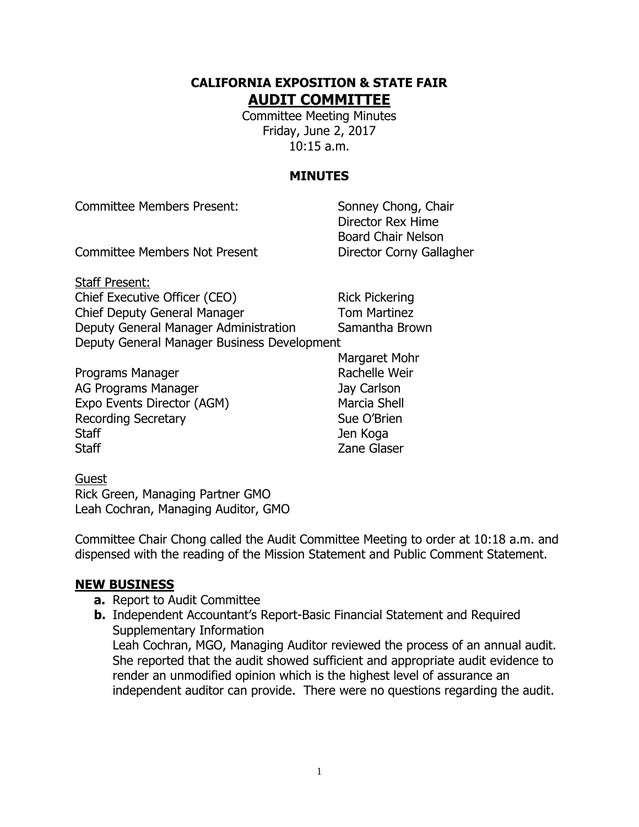### **CALIFORNIA EXPOSITION & STATE FAIR AUDIT COMMITTEE**

Committee Meeting Minutes Friday, June 2, 2017 10:15 a.m.

# **MINUTES**

| <b>Committee Members Present:</b>           | Sonney Chong, Chair<br>Director Rex Hime |
|---------------------------------------------|------------------------------------------|
|                                             | <b>Board Chair Nelson</b>                |
| <b>Committee Members Not Present</b>        | Director Corny Gallagher                 |
| <b>Staff Present:</b>                       |                                          |
| Chief Executive Officer (CEO)               | <b>Rick Pickering</b>                    |
| Chief Deputy General Manager                | <b>Tom Martinez</b>                      |
| Deputy General Manager Administration       | Samantha Brown                           |
| Deputy General Manager Business Development |                                          |
|                                             | Margaret Mohr                            |
| Programs Manager                            | Rachelle Weir                            |

AG Programs Manager **Jay Carlson** Expo Events Director (AGM) Marcia Shell Recording Secretary **Sue O'Brien** Staff Jen Koga Staff **Example 2** Staff **Zane Glaser** 

# Guest

Rick Green, Managing Partner GMO Leah Cochran, Managing Auditor, GMO

Committee Chair Chong called the Audit Committee Meeting to order at 10:18 a.m. and dispensed with the reading of the Mission Statement and Public Comment Statement.

# **NEW BUSINESS**

- **a.** Report to Audit Committee
- **b.** Independent Accountant's Report-Basic Financial Statement and Required Supplementary Information Leah Cochran, MGO, Managing Auditor reviewed the process of an annual audit. She reported that the audit showed sufficient and appropriate audit evidence to render an unmodified opinion which is the highest level of assurance an independent auditor can provide. There were no questions regarding the audit.